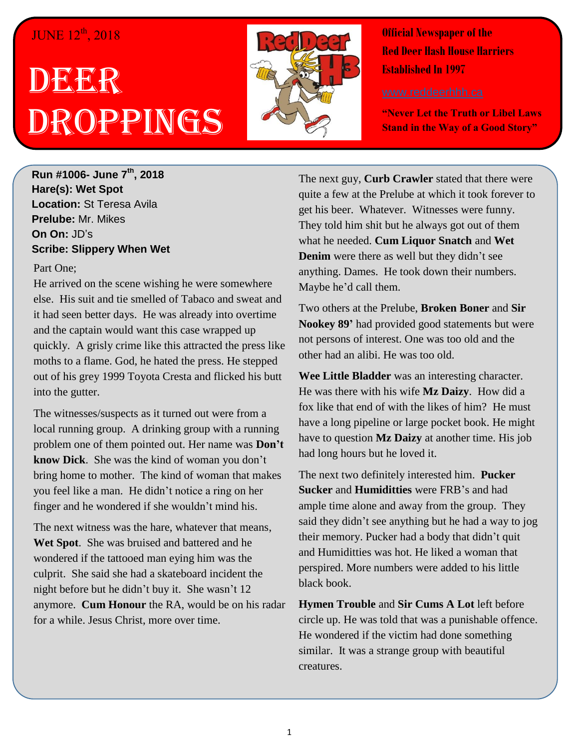## JUNE 12<sup>th</sup>, 2018

## DEGER Droppings



**Official Newspaper of the Red Deer Hash House Harriers Established In 1997** 

**"Never Let the Truth or Libel Laws Stand in the Way of a Good Story"**

**Run #1006- June 7 th, 2018 Hare(s): Wet Spot Location:** St Teresa Avila **Prelube:** Mr. Mikes **On On:** JD's **Scribe: Slippery When Wet**

## Part One;

He arrived on the scene wishing he were somewhere else. His suit and tie smelled of Tabaco and sweat and it had seen better days. He was already into overtime and the captain would want this case wrapped up quickly. A grisly crime like this attracted the press like moths to a flame. God, he hated the press. He stepped out of his grey 1999 Toyota Cresta and flicked his butt into the gutter.

The witnesses/suspects as it turned out were from a local running group. A drinking group with a running problem one of them pointed out. Her name was **Don't know Dick**. She was the kind of woman you don't bring home to mother. The kind of woman that makes you feel like a man. He didn't notice a ring on her finger and he wondered if she wouldn't mind his.

The next witness was the hare, whatever that means, **Wet Spot**. She was bruised and battered and he wondered if the tattooed man eying him was the culprit. She said she had a skateboard incident the night before but he didn't buy it. She wasn't 12 anymore. **Cum Honour** the RA, would be on his radar for a while. Jesus Christ, more over time.

The next guy, **Curb Crawler** stated that there were quite a few at the Prelube at which it took forever to get his beer. Whatever. Witnesses were funny. They told him shit but he always got out of them what he needed. **Cum Liquor Snatch** and **Wet Denim** were there as well but they didn't see anything. Dames. He took down their numbers. Maybe he'd call them.

Two others at the Prelube, **Broken Boner** and **Sir Nookey 89'** had provided good statements but were not persons of interest. One was too old and the other had an alibi. He was too old.

**Wee Little Bladder** was an interesting character. He was there with his wife **Mz Daizy**. How did a fox like that end of with the likes of him? He must have a long pipeline or large pocket book. He might have to question **Mz Daizy** at another time. His job had long hours but he loved it.

The next two definitely interested him. **Pucker Sucker** and **Humiditties** were FRB's and had ample time alone and away from the group. They said they didn't see anything but he had a way to jog their memory. Pucker had a body that didn't quit and Humiditties was hot. He liked a woman that perspired. More numbers were added to his little black book.

**Hymen Trouble** and **Sir Cums A Lot** left before circle up. He was told that was a punishable offence. He wondered if the victim had done something similar. It was a strange group with beautiful creatures.